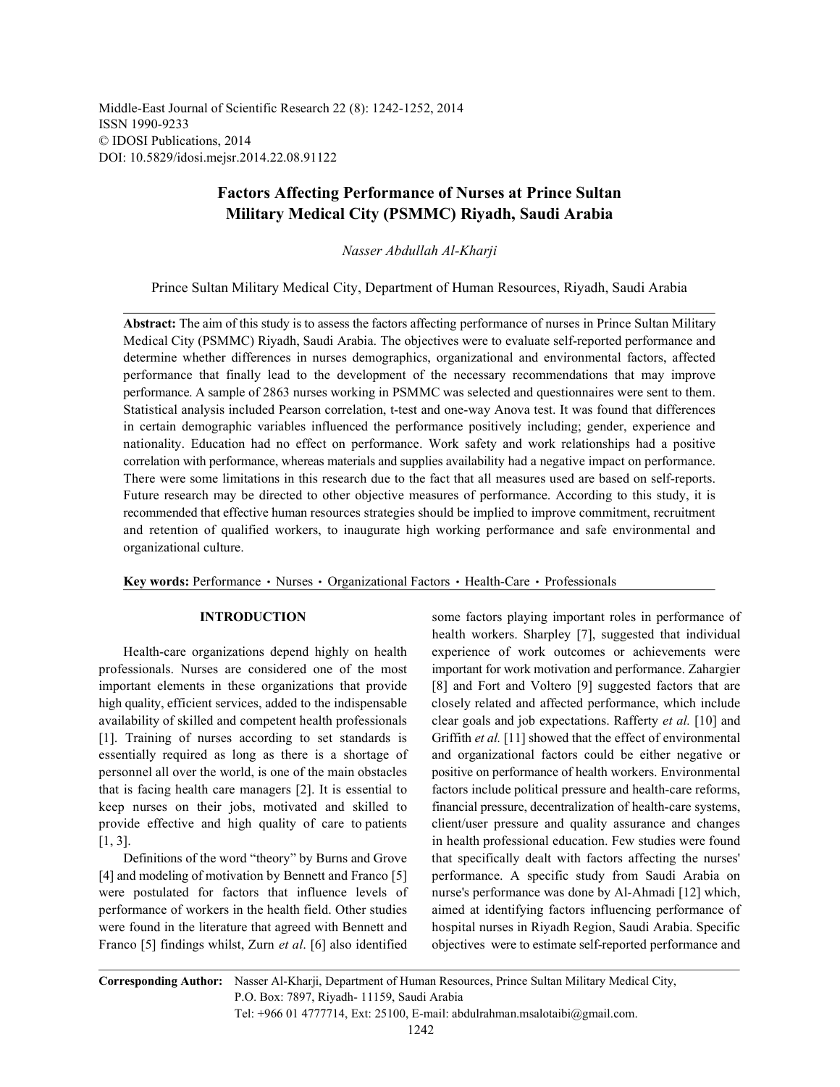Middle-East Journal of Scientific Research 22 (8): 1242-1252, 2014 ISSN 1990-9233 © IDOSI Publications, 2014 DOI: 10.5829/idosi.mejsr.2014.22.08.91122

# **Factors Affecting Performance of Nurses at Prince Sultan Military Medical City (PSMMC) Riyadh, Saudi Arabia**

*Nasser Abdullah Al-Kharji*

Prince Sultan Military Medical City, Department of Human Resources, Riyadh, Saudi Arabia

**Abstract:** The aim of this study is to assess the factors affecting performance of nurses in Prince Sultan Military Medical City (PSMMC) Riyadh, Saudi Arabia. The objectives were to evaluate self-reported performance and determine whether differences in nurses demographics, organizational and environmental factors, affected performance that finally lead to the development of the necessary recommendations that may improve performance. A sample of 2863 nurses working in PSMMC was selected and questionnaires were sent to them. Statistical analysis included Pearson correlation, t-test and one-way Anova test. It was found that differences in certain demographic variables influenced the performance positively including; gender, experience and nationality. Education had no effect on performance. Work safety and work relationships had a positive correlation with performance, whereas materials and supplies availability had a negative impact on performance. There were some limitations in this research due to the fact that all measures used are based on self-reports. Future research may be directed to other objective measures of performance. According to this study, it is recommended that effective human resources strategies should be implied to improve commitment, recruitment and retention of qualified workers, to inaugurate high working performance and safe environmental and organizational culture.

Key words: Performance · Nurses · Organizational Factors · Health-Care · Professionals

professionals. Nurses are considered one of the most important for work motivation and performance. Zahargier important elements in these organizations that provide [8] and Fort and Voltero [9] suggested factors that are high quality, efficient services, added to the indispensable closely related and affected performance, which include availability of skilled and competent health professionals clear goals and job expectations. Rafferty *et al.* [10] and [1]. Training of nurses according to set standards is Griffith *et al.* [11] showed that the effect of environmental essentially required as long as there is a shortage of and organizational factors could be either negative or personnel all over the world, is one of the main obstacles positive on performance of health workers. Environmental that is facing health care managers [2]. It is essential to factors include political pressure and health-care reforms, keep nurses on their jobs, motivated and skilled to financial pressure, decentralization of health-care systems, provide effective and high quality of care to patients client/user pressure and quality assurance and changes [1, 3]. in health professional education. Few studies were found

[4] and modeling of motivation by Bennett and Franco [5] performance. A specific study from Saudi Arabia on were postulated for factors that influence levels of nurse's performance was done by Al-Ahmadi [12] which, performance of workers in the health field. Other studies aimed at identifying factors influencing performance of were found in the literature that agreed with Bennett and hospital nurses in Riyadh Region, Saudi Arabia. Specific Franco [5] findings whilst, Zurn *et al*. [6] also identified objectives were to estimate self-reported performance and

**INTRODUCTION** some factors playing important roles in performance of Health-care organizations depend highly on health experience of work outcomes or achievements were Definitions of the word "theory" by Burns and Grove that specifically dealt with factors affecting the nurses' health workers. Sharpley [7], suggested that individual

**Corresponding Author:** Nasser Al-Kharji, Department of Human Resources, Prince Sultan Military Medical City, P.O. Box: 7897, Riyadh- 11159, Saudi Arabia Tel: +966 01 4777714, Ext: 25100, E-mail: abdulrahman.msalotaibi@gmail.com.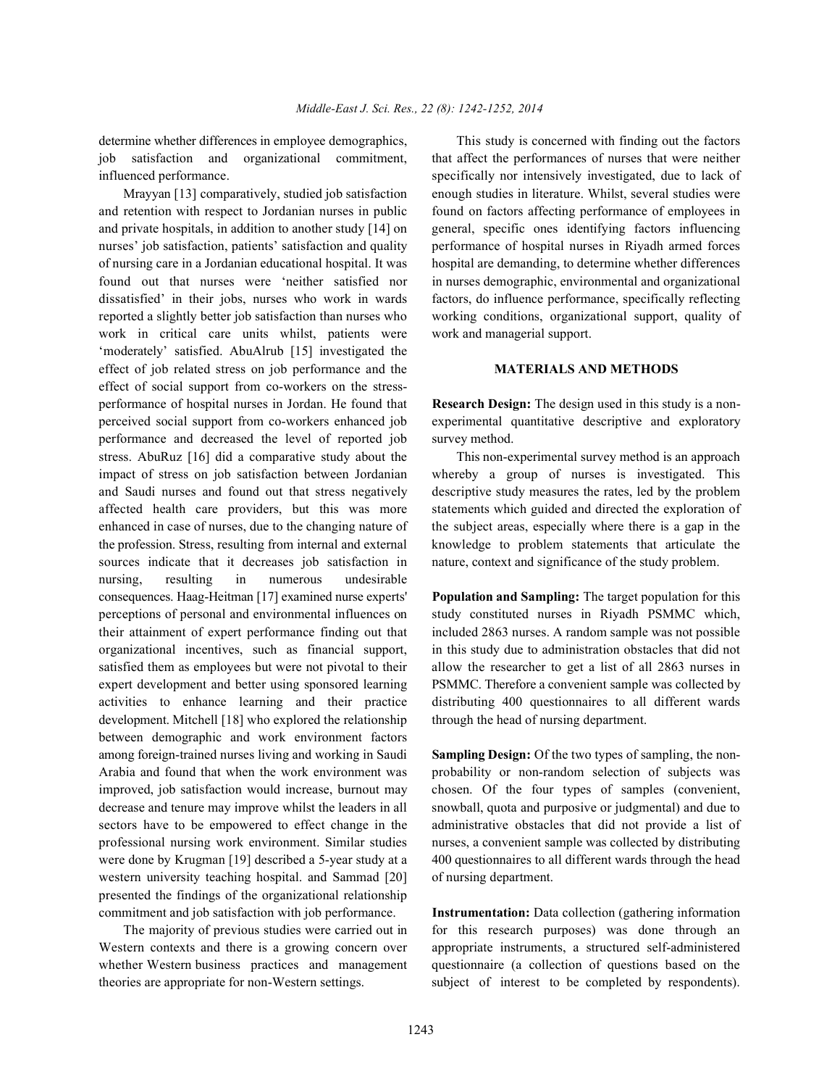job satisfaction and organizational commitment, that affect the performances of nurses that were neither

and retention with respect to Jordanian nurses in public found on factors affecting performance of employees in and private hospitals, in addition to another study [14] on general, specific ones identifying factors influencing nurses' job satisfaction, patients' satisfaction and quality performance of hospital nurses in Riyadh armed forces of nursing care in a Jordanian educational hospital. It was hospital are demanding, to determine whether differences found out that nurses were 'neither satisfied nor in nurses demographic, environmental and organizational dissatisfied' in their jobs, nurses who work in wards factors, do influence performance, specifically reflecting reported a slightly better job satisfaction than nurses who working conditions, organizational support, quality of work in critical care units whilst, patients were work and managerial support. 'moderately' satisfied. AbuAlrub [15] investigated the effect of job related stress on job performance and the **MATERIALS AND METHODS** effect of social support from co-workers on the stressperformance of hospital nurses in Jordan. He found that **Research Design:** The design used in this study is a nonperceived social support from co-workers enhanced job experimental quantitative descriptive and exploratory performance and decreased the level of reported job survey method. stress. AbuRuz [16] did a comparative study about the This non-experimental survey method is an approach impact of stress on job satisfaction between Jordanian whereby a group of nurses is investigated. This and Saudi nurses and found out that stress negatively descriptive study measures the rates, led by the problem affected health care providers, but this was more statements which guided and directed the exploration of enhanced in case of nurses, due to the changing nature of the subject areas, especially where there is a gap in the the profession. Stress, resulting from internal and external knowledge to problem statements that articulate the sources indicate that it decreases job satisfaction in nature, context and significance of the study problem. nursing, resulting in numerous undesirable consequences. Haag-Heitman [17] examined nurse experts' **Population and Sampling:** The target population for this perceptions of personal and environmental influences on study constituted nurses in Riyadh PSMMC which, their attainment of expert performance finding out that included 2863 nurses. A random sample was not possible organizational incentives, such as financial support, in this study due to administration obstacles that did not satisfied them as employees but were not pivotal to their allow the researcher to get a list of all 2863 nurses in expert development and better using sponsored learning PSMMC. Therefore a convenient sample was collected by activities to enhance learning and their practice distributing 400 questionnaires to all different wards development. Mitchell [18] who explored the relationship through the head of nursing department. between demographic and work environment factors among foreign-trained nurses living and working in Saudi **Sampling Design:** Of the two types of sampling, the non-Arabia and found that when the work environment was probability or non-random selection of subjects was improved, job satisfaction would increase, burnout may chosen. Of the four types of samples (convenient, decrease and tenure may improve whilst the leaders in all snowball, quota and purposive or judgmental) and due to sectors have to be empowered to effect change in the administrative obstacles that did not provide a list of professional nursing work environment. Similar studies nurses, a convenient sample was collected by distributing were done by Krugman [19] described a 5-year study at a 400 questionnaires to all different wards through the head western university teaching hospital. and Sammad [20] of nursing department. presented the findings of the organizational relationship commitment and job satisfaction with job performance. **Instrumentation:** Data collection (gathering information

determine whether differences in employee demographics, This study is concerned with finding out the factors influenced performance. specifically nor intensively investigated, due to lack of Mrayyan [13] comparatively, studied job satisfaction enough studies in literature. Whilst, several studies were

The majority of previous studies were carried out in for this research purposes) was done through an Western contexts and there is a growing concern over appropriate instruments, a structured self-administered whether Western business practices and management questionnaire (a collection of questions based on the theories are appropriate for non-Western settings. subject of interest to be completed by respondents).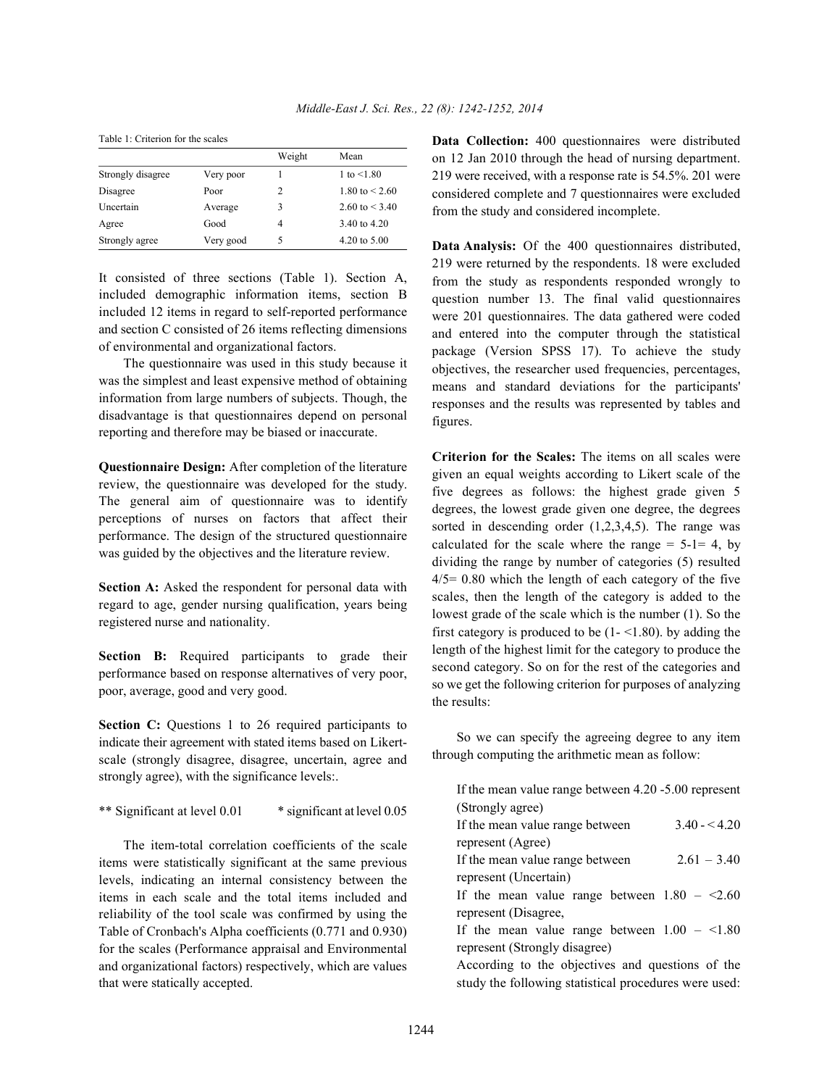Table 1: Criterion for the scales

|                   |           | Weight | Mean                    |
|-------------------|-----------|--------|-------------------------|
| Strongly disagree | Very poor |        | 1 to $\leq$ 1.80        |
| Disagree          | Poor      | 2      | $1.80 \text{ to } 2.60$ |
| Uncertain         | Average   | 3      | 2.60 to $<$ 3.40        |
| Agree             | Good      | 4      | 3.40 to 4.20            |
| Strongly agree    | Very good | 5      | $4.20 \text{ to } 5.00$ |

It consisted of three sections (Table 1). Section A, included demographic information items, section B included 12 items in regard to self-reported performance and section C consisted of 26 items reflecting dimensions of environmental and organizational factors.

The questionnaire was used in this study because it was the simplest and least expensive method of obtaining information from large numbers of subjects. Though, the disadvantage is that questionnaires depend on personal reporting and therefore may be biased or inaccurate.

**Questionnaire Design:** After completion of the literature review, the questionnaire was developed for the study. The general aim of questionnaire was to identify perceptions of nurses on factors that affect their performance. The design of the structured questionnaire was guided by the objectives and the literature review.

**Section A:** Asked the respondent for personal data with regard to age, gender nursing qualification, years being registered nurse and nationality.

**Section B:** Required participants to grade their performance based on response alternatives of very poor, poor, average, good and very good.

Section C: Questions 1 to 26 required participants to indicate their agreement with stated items based on Likertscale (strongly disagree, disagree, uncertain, agree and strongly agree), with the significance levels:.

\*\* Significant at level 0.01 \* significant at level 0.05

The item-total correlation coefficients of the scale items were statistically significant at the same previous levels, indicating an internal consistency between the items in each scale and the total items included and reliability of the tool scale was confirmed by using the Table of Cronbach's Alpha coefficients (0.771 and 0.930) for the scales (Performance appraisal and Environmental and organizational factors) respectively, which are values that were statically accepted.

**Data Collection:** 400 questionnaires were distributed on 12 Jan 2010 through the head of nursing department. 219 were received, with a response rate is 54.5%. 201 were considered complete and 7 questionnaires were excluded from the study and considered incomplete.

**Data Analysis:** Of the 400 questionnaires distributed, 219 were returned by the respondents. 18 were excluded from the study as respondents responded wrongly to question number 13. The final valid questionnaires were 201 questionnaires. The data gathered were coded and entered into the computer through the statistical package (Version SPSS 17). To achieve the study objectives, the researcher used frequencies, percentages, means and standard deviations for the participants' responses and the results was represented by tables and figures.

**Criterion for the Scales:** The items on all scales were given an equal weights according to Likert scale of the five degrees as follows: the highest grade given 5 degrees, the lowest grade given one degree, the degrees sorted in descending order (1,2,3,4,5). The range was calculated for the scale where the range  $= 5-1= 4$ , by dividing the range by number of categories (5) resulted  $4/5$ = 0.80 which the length of each category of the five scales, then the length of the category is added to the lowest grade of the scale which is the number (1). So the first category is produced to be  $(1 - 1.80)$ . by adding the length of the highest limit for the category to produce the second category. So on for the rest of the categories and so we get the following criterion for purposes of analyzing the results:

So we can specify the agreeing degree to any item through computing the arithmetic mean as follow:

| If the mean value range between 4.20 -5.00 represent  |  |  |  |  |  |
|-------------------------------------------------------|--|--|--|--|--|
| (Strongly agree)                                      |  |  |  |  |  |
| $3.40 - 4.20$<br>If the mean value range between      |  |  |  |  |  |
| represent (Agree)                                     |  |  |  |  |  |
| $2.61 - 3.40$<br>If the mean value range between      |  |  |  |  |  |
| represent (Uncertain)                                 |  |  |  |  |  |
| If the mean value range between $1.80 - 2.60$         |  |  |  |  |  |
| represent (Disagree,                                  |  |  |  |  |  |
| If the mean value range between $1.00 - 1.80$         |  |  |  |  |  |
| represent (Strongly disagree)                         |  |  |  |  |  |
| According to the objectives and questions of the      |  |  |  |  |  |
| study the following statistical procedures were used: |  |  |  |  |  |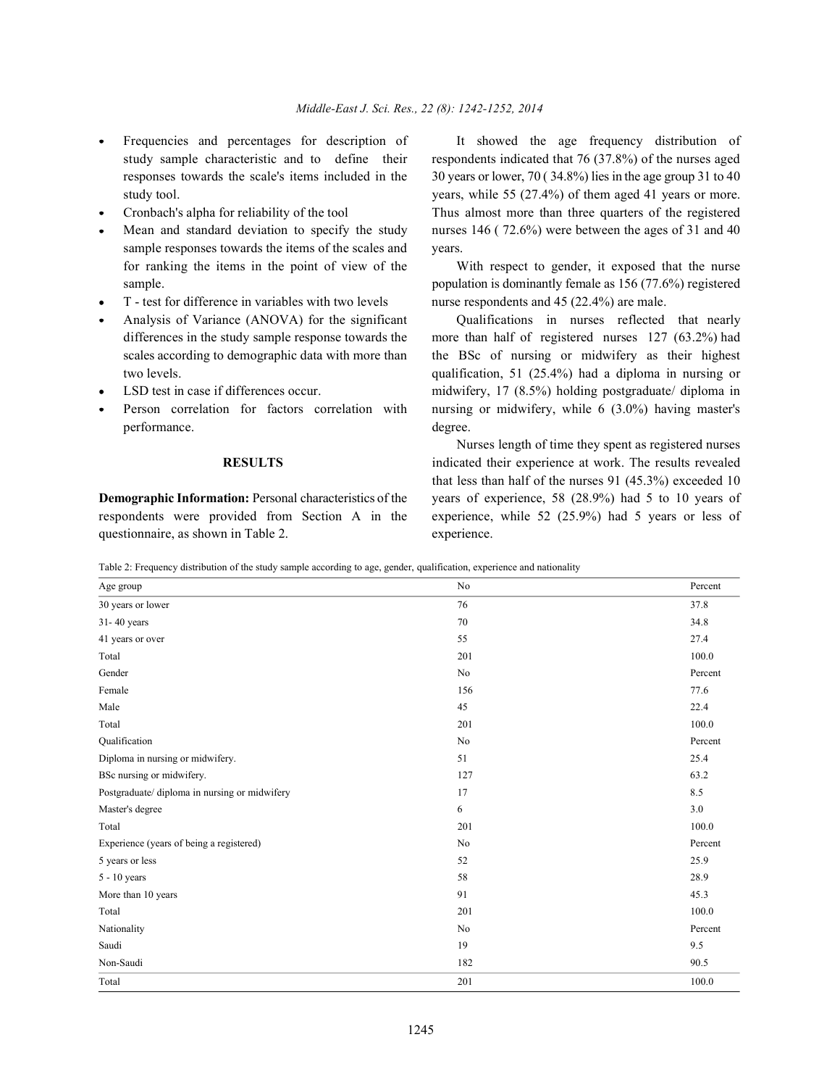- 
- 
- sample responses towards the items of the scales and years. for ranking the items in the point of view of the With respect to gender, it exposed that the nurse
- 
- 
- 
- performance. degree.

respondents were provided from Section A in the experience, while 52 (25.9%) had 5 years or less of questionnaire, as shown in Table 2. experience.

Frequencies and percentages for description of It showed the age frequency distribution of study sample characteristic and to define their respondents indicated that 76 (37.8%) of the nurses aged responses towards the scale's items included in the 30 years or lower, 70 ( 34.8%) lies in the age group 31 to 40 study tool. years, while 55 (27.4%) of them aged 41 years or more. Cronbach's alpha for reliability of the tool Thus almost more than three quarters of the registered Mean and standard deviation to specify the study nurses 146 (72.6%) were between the ages of 31 and 40

sample. population is dominantly female as 156 (77.6%) registered T - test for difference in variables with two levels nurse respondents and 45 (22.4%) are male.

Analysis of Variance (ANOVA) for the significant Qualifications in nurses reflected that nearly differences in the study sample response towards the more than half of registered nurses 127 (63.2%) had scales according to demographic data with more than the BSc of nursing or midwifery as their highest two levels. qualification, 51 (25.4%) had a diploma in nursing or LSD test in case if differences occur. midwifery, 17 (8.5%) holding postgraduate/ diploma in Person correlation for factors correlation with nursing or midwifery, while 6 (3.0%) having master's

**RESULTS** indicated their experience at work. The results revealed **Demographic Information:** Personal characteristics of the years of experience, 58 (28.9%) had 5 to 10 years of Nurses length of time they spent as registered nurses that less than half of the nurses 91 (45.3%) exceeded 10

Table 2: Frequency distribution of the study sample according to age, gender, qualification, experience and nationality

| Age group                                     | N <sub>0</sub> | Percent |
|-----------------------------------------------|----------------|---------|
| 30 years or lower                             | 76             | 37.8    |
| $31 - 40$ years                               | 70             | 34.8    |
| 41 years or over                              | 55             | 27.4    |
| Total                                         | 201            | 100.0   |
| Gender                                        | N <sub>0</sub> | Percent |
| Female                                        | 156            | 77.6    |
| Male                                          | 45             | 22.4    |
| Total                                         | 201            | 100.0   |
| Qualification                                 | N <sub>0</sub> | Percent |
| Diploma in nursing or midwifery.              | 51             | 25.4    |
| BSc nursing or midwifery.                     | 127            | 63.2    |
| Postgraduate/ diploma in nursing or midwifery | 17             | 8.5     |
| Master's degree                               | 6              | 3.0     |
| Total                                         | 201            | 100.0   |
| Experience (years of being a registered)      | N <sub>0</sub> | Percent |
| 5 years or less                               | 52             | 25.9    |
| $5 - 10$ years                                | 58             | 28.9    |
| More than 10 years                            | 91             | 45.3    |
| Total                                         | 201            | 100.0   |
| Nationality                                   | N <sub>0</sub> | Percent |
| Saudi                                         | 19             | 9.5     |
| Non-Saudi                                     | 182            | 90.5    |
| Total                                         | 201            | 100.0   |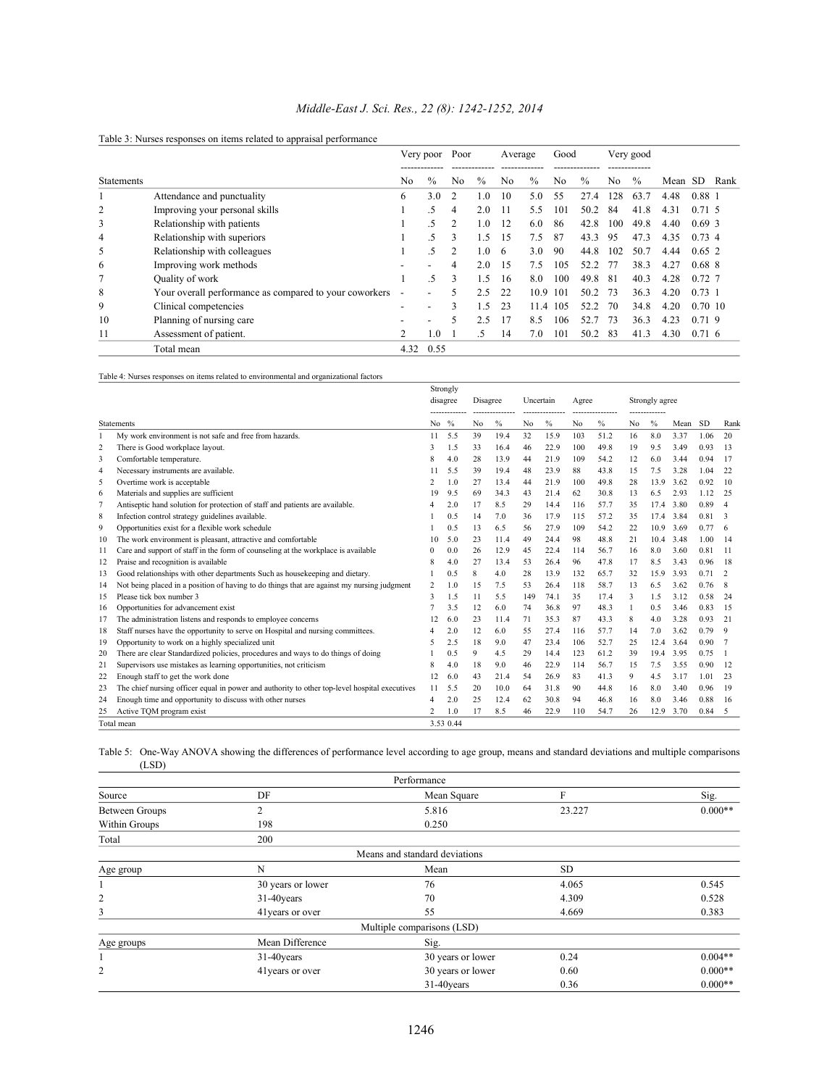|                   |                                                        |                          |               | Very poor Poor |               | Average        |               | Good |               |     | Very good     |         |                   |      |
|-------------------|--------------------------------------------------------|--------------------------|---------------|----------------|---------------|----------------|---------------|------|---------------|-----|---------------|---------|-------------------|------|
|                   |                                                        |                          |               |                |               |                |               |      |               |     |               |         |                   |      |
| <b>Statements</b> |                                                        | No.                      | $\frac{0}{0}$ | No.            | $\frac{0}{0}$ | N <sub>0</sub> | $\frac{0}{0}$ | No   | $\frac{0}{0}$ | No. | $\frac{0}{0}$ | Mean SD |                   | Rank |
|                   | Attendance and punctuality                             | 6                        | 3.0           | $\mathcal{D}$  | 1.0           | 10             | 5.0           | 55   | 27.4          | 128 | 63.7          | 4.48    | 0.88              |      |
|                   | Improving your personal skills                         |                          | .5            | 4              | 2.0           | 11             | 5.5           | 101  | 50.2          | 84  | 41.8          | 4.31    | $0.71\;5$         |      |
| 3                 | Relationship with patients                             |                          |               | $\overline{c}$ | 0.1           | 12             | 6.0           | 86   | 42.8          | 100 | 49.8          | 4.40    | 0.69.3            |      |
| 4                 | Relationship with superiors                            |                          | .5            | 3              | 1.5           | 15             | 7.5           | 87   | 43.3          | 95  | 47.3          | 4.35    | $0.73 \; 4$       |      |
| 5                 | Relationship with colleagues                           |                          | .5            | $\overline{c}$ | L 0           | 6              | 3.0           | 90   | 44.8          | 102 | 50.7          | 4.44    | 0.652             |      |
| O                 | Improving work methods                                 |                          |               | 4              | 2.0           | 15             | 7.5           | 105  | 52.2          |     | 38.3          | 4.27    | 0.688             |      |
|                   | Quality of work                                        |                          | .5            | 3              | 1.5           | 16             | 8.0           | 100  | 49.8          | -81 | 40.3          | 4.28    | $0.72 \t7$        |      |
| 8                 | Your overall performance as compared to your coworkers | $\overline{\phantom{a}}$ |               | 5              | 2.5           | 22             | 10.9          | 101  | 50.2          | 73  | 36.3          | 4.20    | $0.73 \text{ } 1$ |      |
| 9                 | Clinical competencies                                  |                          |               | 3              | l.5           | 23             | 11.4          | 105  | 52.2          | 70  | 34.8          | 4.20    | $0.70\;10$        |      |
| 10                | Planning of nursing care                               |                          |               | 5              | 2.5           | 17             | 8.5           | 106  | 52.           | 73  | 36.3          | 4.23    | 0.719             |      |
| 11                | Assessment of patient.                                 |                          | 1.0           |                | .5            | 14             | 7.0           | 101  | 50.2          | -83 | 41.3          | 4.30    | $0.71\;6$         |      |
|                   | Total mean                                             | 4.32                     | 0.55          |                |               |                |               |      |               |     |               |         |                   |      |

## *Middle-East J. Sci. Res., 22 (8): 1242-1252, 2014*

Table 4: Nurses responses on items related to environmental and organizational factors

|    |                                                                                               |              | Strongly             |    |           |                |               |                |                |                |      |      |           |                |
|----|-----------------------------------------------------------------------------------------------|--------------|----------------------|----|-----------|----------------|---------------|----------------|----------------|----------------|------|------|-----------|----------------|
|    |                                                                                               |              | disagree<br>Disagree |    | Uncertain |                | Agree         |                | Strongly agree |                |      |      |           |                |
|    | <b>Statements</b>                                                                             | No           | $\%$                 | No | $\%$      | N <sub>0</sub> | $\frac{0}{0}$ | N <sub>0</sub> | $\frac{0}{0}$  | N <sub>0</sub> | $\%$ | Mean | <b>SD</b> | Rank           |
|    | My work environment is not safe and free from hazards.                                        | 11           | 5.5                  | 39 | 19.4      | 32             | 15.9          | 103            | 51 2           | 16             | 8.0  | 3.37 | 1.06      | 20             |
| 2  | There is Good workplace layout.                                                               |              | 1.5                  | 33 | 16.4      | 46             | 22.9          | 100            | 49 8           | 19             | 9.5  | 3.49 | 0.93      | 13             |
| 3  | Comfortable temperature.                                                                      |              | 4.0                  | 28 | 13.9      | 44             | 21.9          | 109            | 54.2           | 12             | 6.0  | 3.44 | 0.94      | 17             |
| 4  | Necessary instruments are available.                                                          | 11           | 5.5                  | 39 | 19.4      | 48             | 23.9          | 88             | 43.8           | 15             | 7.5  | 3.28 | 1.04      | 22             |
| 5  | Overtime work is acceptable                                                                   |              | 1.0                  | 27 | 13.4      | 44             | 21.9          | 100            | 49.8           | 28             | 13.9 | 3.62 | 0.92      | 10             |
| 6  | Materials and supplies are sufficient                                                         | 19           | 9.5                  | 69 | 34.3      | 43             | 21.4          | 62             | 30.8           | 13             | 6.5  | 2.93 | 1.12      | 25             |
| 7  | Antiseptic hand solution for protection of staff and patients are available.                  |              | 2.0                  | 17 | 8.5       | 29             | 14.4          | 116            | 57.7           | 35             | 17.4 | 3.80 | 0.89      | $\overline{A}$ |
| 8  | Infection control strategy guidelines available.                                              |              | 0.5                  | 14 | 7.0       | 36             | 17.9          | 115            | 57 2           | 35             | 17.4 | 3.84 | 0.81      | 3              |
| 9  | Opportunities exist for a flexible work schedule                                              |              | 0.5                  | 13 | 6.5       | 56             | 279           | 109            | 54 2           | 22             | 10.9 | 3.69 | 0.77      | 6              |
| 10 | The work environment is pleasant, attractive and comfortable                                  | 10           | 5.0                  | 23 | 11.4      | 49             | 24.4          | 98             | 48.8           | 21             | 10.4 | 3.48 | 1.00      | 14             |
| 11 | Care and support of staff in the form of counseling at the workplace is available             | $\theta$     | 0.0                  | 26 | 12.9      | 45             | 22.4          | 114            | 56.7           | 16             | 8.0  | 3.60 | 0.81      | 11             |
| 12 | Praise and recognition is available                                                           | $\mathbf{8}$ | 4.0                  | 27 | 13.4      | 53             | 26.4          | 96             | 47.8           | 17             | 8.5  | 3.43 | 0.96      | 18             |
| 13 | Good relationships with other departments Such as housekeeping and dietary.                   |              | 0.5                  | 8  | 4.0       | 28             | 13.9          | 132            | 65.7           | 32             | 15.9 | 3.93 | 0.71      | $\overline{2}$ |
| 14 | Not being placed in a position of having to do things that are against my nursing judgment    | 2            | 1.0                  | 15 | 7.5       | 53             | 26.4          | 118            | 58.7           | 13             | 6.5  | 3.62 | 0.76      | 8              |
| 15 | Please tick box number 3                                                                      |              | 1.5                  | 11 | 5.5       | 149            | 74.1          | 35             | 17.4           | 3              | 1.5  | 3.12 | 0.58      | 24             |
| 16 | Opportunities for advancement exist                                                           |              | 3.5                  | 12 | 6.0       | 74             | 36.8          | 97             | 483            |                | 0.5  | 3.46 | 0.83      | 15             |
| 17 | The administration listens and responds to employee concerns                                  | 12           | 6.0                  | 23 | 11.4      | 71             | 35.3          | 87             | 43.3           | 8              | 4.0  | 3.28 | 0.93      | 21             |
| 18 | Staff nurses have the opportunity to serve on Hospital and nursing committees.                | 4            | 2.0                  | 12 | 6.0       | 55             | 27.4          | 116            | 57.7           | 14             | 7.0  | 3.62 | 0.79      | 9              |
| 19 | Opportunity to work on a highly specialized unit                                              | 5            | 2.5                  | 18 | 9.0       | 47             | 23.4          | 106            | 52.7           | 25             | 12.4 | 3.64 | 0.90      |                |
| 20 | There are clear Standardized policies, procedures and ways to do things of doing              |              | 0.5                  | 9  | 4.5       | 29             | 14.4          | 123            | 61 2           | 39             | 19.4 | 3.95 | 0.75      |                |
| 21 | Supervisors use mistakes as learning opportunities, not criticism                             | 8            | 40                   | 18 | 9.0       | 46             | 22.9          | 114            | 56.7           | 15             | 7.5  | 3.55 | 0.90      | 12             |
| 22 | Enough staff to get the work done                                                             | 12           | 6.0                  | 43 | 21.4      | 54             | 26.9          | 83             | 41.3           | 9              | 4.5  | 3.17 | 1.01      | 23             |
| 23 | The chief nursing officer equal in power and authority to other top-level hospital executives | 11           | 5.5                  | 20 | 10.0      | 64             | 31.8          | 90             | 44.8           | 16             | 8.0  | 3.40 | 0.96      | 19             |
| 24 | Enough time and opportunity to discuss with other nurses                                      | 4            | 2.0                  | 25 | 12.4      | 62             | 30.8          | 94             | 46.8           | 16             | 8.0  | 3.46 | 0.88      | 16             |
| 25 | Active TOM program exist                                                                      |              | 1.0                  | 17 | 8.5       | 46             | 22.9          | 110            | 54.7           | 26             | 12.9 | 3.70 | 0.84      | 5              |
|    | Total mean                                                                                    |              | 3 53 0 44            |    |           |                |               |                |                |                |      |      |           |                |

Table 5: One-Way ANOVA showing the differences of performance level according to age group, means and standard deviations and multiple comparisons (LSD)

|                |                   | Performance                   |           |           |
|----------------|-------------------|-------------------------------|-----------|-----------|
| Source         | DF                | Mean Square                   | F         | Sig.      |
| Between Groups | 2                 | 5.816                         | 23.227    | $0.000**$ |
| Within Groups  | 198               | 0.250                         |           |           |
| Total          | 200               |                               |           |           |
|                |                   | Means and standard deviations |           |           |
| Age group      | N                 | Mean                          | <b>SD</b> |           |
|                | 30 years or lower | 76                            | 4.065     | 0.545     |
| $\overline{2}$ | 31-40years        | 70                            | 4.309     | 0.528     |
| 3              | 41 years or over  | 55                            | 4.669     | 0.383     |
|                |                   | Multiple comparisons (LSD)    |           |           |
| Age groups     | Mean Difference   | Sig.                          |           |           |
|                | 31-40years        | 30 years or lower             | 0.24      | $0.004**$ |
| $\overline{2}$ | 41 years or over  | 30 years or lower             | 0.60      | $0.000**$ |
|                |                   | $31-40$ years                 | 0.36      | $0.000**$ |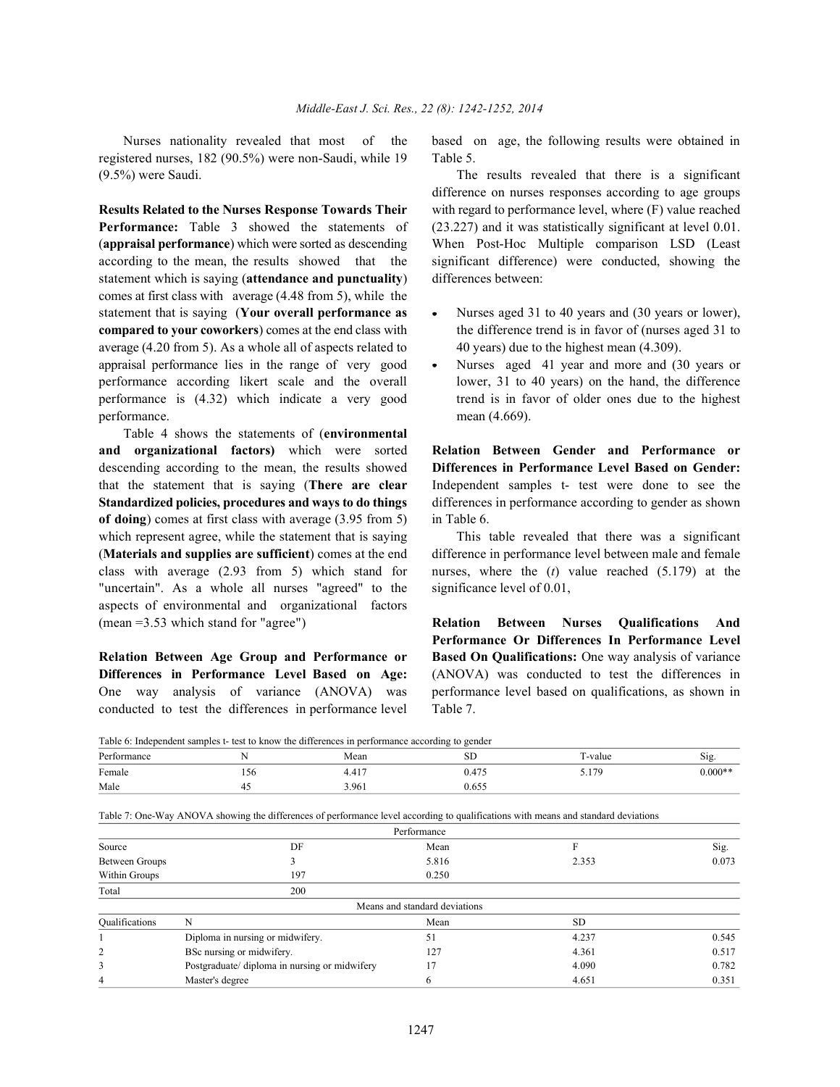registered nurses, 182 (90.5%) were non-Saudi, while 19 Table 5. (9.5%) were Saudi. The results revealed that there is a significant

**Performance:** Table 3 showed the statements of (23.227) and it was statistically significant at level 0.01. (**appraisal performance**) which were sorted as descending When Post-Hoc Multiple comparison LSD (Least according to the mean, the results showed that the significant difference) were conducted, showing the statement which is saying (**attendance and punctuality**) differences between: comes at first class with average (4.48 from 5), while the statement that is saying (**Your overall performance as** • Nurses aged 31 to 40 years and (30 years or lower), **compared to your coworkers**) comes at the end class with the difference trend is in favor of (nurses aged 31 to average (4.20 from 5). As a whole all of aspects related to 40 years) due to the highest mean (4.309). appraisal performance lies in the range of very good  $\bullet$  Nurses aged 41 year and more and (30 years or performance according likert scale and the overall lower, 31 to 40 years) on the hand, the difference performance is (4.32) which indicate a very good trend is in favor of older ones due to the highest performance. mean  $(4.669)$ .

Table 4 shows the statements of (**environmental and organizational factors)** which were sorted **Relation Between Gender and Performance or** descending according to the mean, the results showed **Differences in Performance Level Based on Gender:** that the statement that is saying (**There are clear** Independent samples t- test were done to see the **Standardized policies, procedures and ways to do things** differences in performance according to gender as shown **of doing**) comes at first class with average (3.95 from 5) in Table 6. which represent agree, while the statement that is saying This table revealed that there was a significant (**Materials and supplies are sufficient**) comes at the end difference in performance level between male and female class with average (2.93 from 5) which stand for nurses, where the (*t*) value reached (5.179) at the "uncertain". As a whole all nurses "agreed" to the significance level of 0.01, aspects of environmental and organizational factors (mean =3.53 which stand for "agree") **Relation Between Nurses Qualifications And**

**Differences in Performance Level Based on Age:** (ANOVA) was conducted to test the differences in One way analysis of variance (ANOVA) was performance level based on qualifications, as shown in conducted to test the differences in performance level Table 7.

Nurses nationality revealed that most of the based on age, the following results were obtained in

**Results Related to the Nurses Response Towards Their** with regard to performance level, where (F) value reached difference on nurses responses according to age groups

- 
- 

**Relation Between Age Group and Performance or Based On Qualifications:** One way analysis of variance **Performance Or Differences In Performance Level**

|  |  |  |  |  |  | Table 6: Independent samples t- test to know the differences in performance according to gender |
|--|--|--|--|--|--|-------------------------------------------------------------------------------------------------|
|--|--|--|--|--|--|-------------------------------------------------------------------------------------------------|

|             |     |       | .<br>$\sim$  |             |           |
|-------------|-----|-------|--------------|-------------|-----------|
| Performance |     | Mean  | эL           | l`-value    | 512       |
| Female      | 156 | 4.417 | 175<br>0.475 | 170<br>7.11 | $0.000**$ |
| Male        |     | 3.961 | 0.655        |             |           |

Table 7: One-Way ANOVA showing the differences of performance level according to qualifications with means and standard deviations

|                       |                                               | Performance                   |       |       |
|-----------------------|-----------------------------------------------|-------------------------------|-------|-------|
| Source                | DF                                            | Mean                          |       | Sig.  |
| Between Groups        |                                               | 5.816                         | 2.353 | 0.073 |
| Within Groups<br>197  |                                               | 0.250                         |       |       |
| Total                 | 200                                           |                               |       |       |
|                       |                                               | Means and standard deviations |       |       |
| <b>Qualifications</b> | N                                             | Mean                          | SD.   |       |
|                       | Diploma in nursing or midwifery.              | 51                            | 4.237 | 0.545 |
| $\mathfrak{2}$        | BSc nursing or midwifery.                     | 127                           | 4.361 | 0.517 |
| 3                     | Postgraduate/ diploma in nursing or midwifery | n                             | 4.090 | 0.782 |
| Master's degree<br>4  |                                               | 6                             | 4.651 | 0.351 |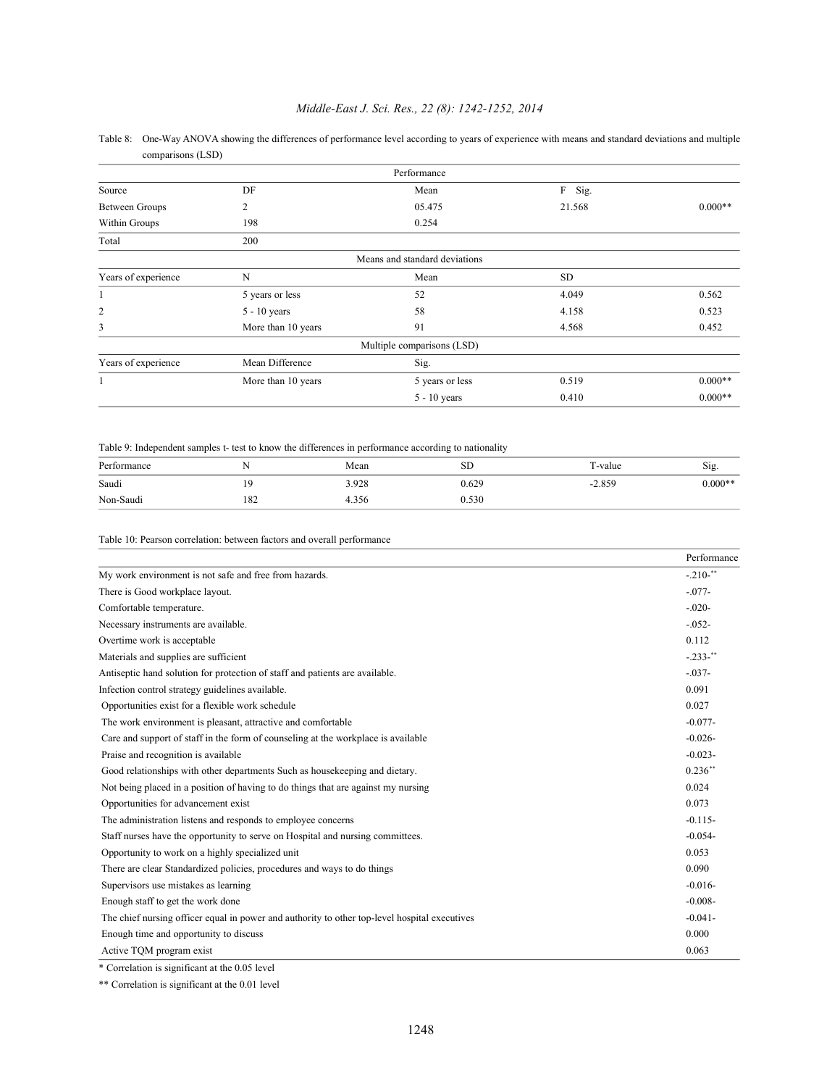# *Middle-East J. Sci. Res., 22 (8): 1242-1252, 2014*

| $\frac{1}{2}$       |                    |                               |                      |           |
|---------------------|--------------------|-------------------------------|----------------------|-----------|
|                     |                    | Performance                   |                      |           |
| Source              | DF                 | Mean                          | $\mathbf{F}$<br>Sig. |           |
| Between Groups      | 2                  | 05.475                        | 21.568               | $0.000**$ |
| Within Groups       | 198                | 0.254                         |                      |           |
| Total               | 200                |                               |                      |           |
|                     |                    | Means and standard deviations |                      |           |
| Years of experience | N                  | Mean                          | <b>SD</b>            |           |
| 1                   | 5 years or less    | 52                            | 4.049                | 0.562     |
| 2                   | $5 - 10$ years     | 58                            | 4.158                | 0.523     |
| 3                   | More than 10 years | 91                            | 4.568                | 0.452     |
|                     |                    | Multiple comparisons (LSD)    |                      |           |
| Years of experience | Mean Difference    | Sig.                          |                      |           |
| 1                   | More than 10 years | 5 years or less               | 0.519                | $0.000**$ |
|                     |                    | $5 - 10$ years                | 0.410                | $0.000**$ |

### Table 8: One-Way ANOVA showing the differences of performance level according to years of experience with means and standard deviations and multiple comparisons (LSD)

Table 9: Independent samples t- test to know the differences in performance according to nationality

| Performance | $\sim$ | Mean  | SD    | T-value      | Sig.      |
|-------------|--------|-------|-------|--------------|-----------|
| Saudi       |        | 3.928 | 0.629 | 2.859<br>- 1 | $0.000**$ |
| Non-Saudi   | 182    | . 356 | 0.530 |              |           |

Table 10: Pearson correlation: between factors and overall performance

|                                                                                               | Performance          |
|-----------------------------------------------------------------------------------------------|----------------------|
| My work environment is not safe and free from hazards.                                        | $-210$ <sup>**</sup> |
| There is Good workplace layout.                                                               | $-0.077 -$           |
| Comfortable temperature.                                                                      | $-.020-$             |
| Necessary instruments are available.                                                          | $-0.052 -$           |
| Overtime work is acceptable                                                                   | 0.112                |
| Materials and supplies are sufficient                                                         | $-.233-$ **          |
| Antiseptic hand solution for protection of staff and patients are available.                  | $-0.037 -$           |
| Infection control strategy guidelines available.                                              | 0.091                |
| Opportunities exist for a flexible work schedule                                              | 0.027                |
| The work environment is pleasant, attractive and comfortable                                  | $-0.077-$            |
| Care and support of staff in the form of counseling at the workplace is available             | $-0.026-$            |
| Praise and recognition is available                                                           | $-0.023-$            |
| Good relationships with other departments Such as housekeeping and dietary.                   | $0.236**$            |
| Not being placed in a position of having to do things that are against my nursing             | 0.024                |
| Opportunities for advancement exist                                                           | 0.073                |
| The administration listens and responds to employee concerns                                  | $-0.115-$            |
| Staff nurses have the opportunity to serve on Hospital and nursing committees.                | $-0.054-$            |
| Opportunity to work on a highly specialized unit                                              | 0.053                |
| There are clear Standardized policies, procedures and ways to do things                       | 0.090                |
| Supervisors use mistakes as learning                                                          | $-0.016-$            |
| Enough staff to get the work done                                                             | $-0.008-$            |
| The chief nursing officer equal in power and authority to other top-level hospital executives | $-0.041-$            |
| Enough time and opportunity to discuss                                                        | 0.000                |
| Active TQM program exist                                                                      | 0.063                |
| $\star$ and $\star$ in the second position                                                    |                      |

\* Correlation is significant at the 0.05 level

\*\* Correlation is significant at the 0.01 level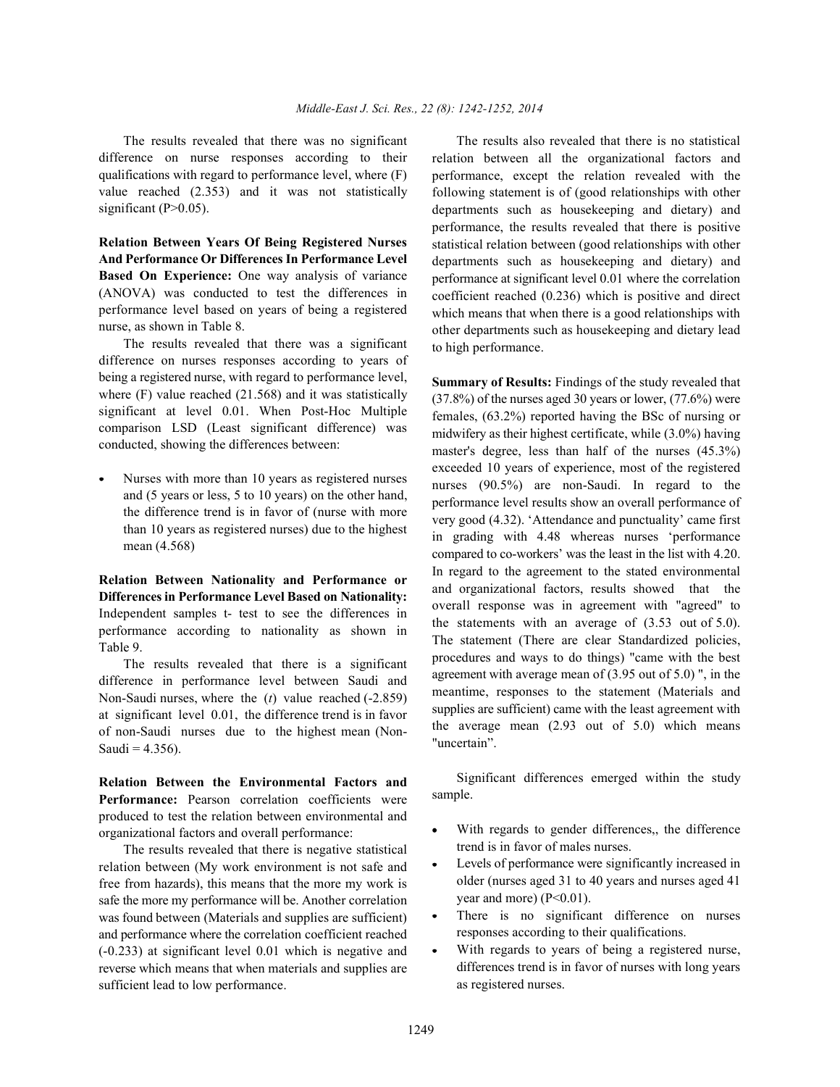difference on nurse responses according to their qualifications with regard to performance level, where (F) value reached (2.353) and it was not statistically significant (P>0.05).

**Relation Between Years Of Being Registered Nurses And Performance Or Differences In Performance Level Based On Experience:** One way analysis of variance (ANOVA) was conducted to test the differences in performance level based on years of being a registered nurse, as shown in Table 8.

The results revealed that there was a significant difference on nurses responses according to years of being a registered nurse, with regard to performance level, where (F) value reached (21.568) and it was statistically significant at level 0.01. When Post-Hoc Multiple comparison LSD (Least significant difference) was conducted, showing the differences between:

Nurses with more than 10 years as registered nurses and (5 years or less, 5 to 10 years) on the other hand, the difference trend is in favor of (nurse with more than 10 years as registered nurses) due to the highest mean (4.568)

**Relation Between Nationality and Performance or Differences in Performance Level Based on Nationality:** Independent samples t- test to see the differences in performance according to nationality as shown in Table 9.

The results revealed that there is a significant difference in performance level between Saudi and Non-Saudi nurses, where the (*t*) value reached (-2.859) at significant level 0.01, the difference trend is in favor of non-Saudi nurses due to the highest mean (Non-Saudi =  $4.356$ ).

**Relation Between the Environmental Factors and** Performance: Pearson correlation coefficients were produced to test the relation between environmental and organizational factors and overall performance:

The results revealed that there is negative statistical relation between (My work environment is not safe and free from hazards), this means that the more my work is safe the more my performance will be. Another correlation was found between (Materials and supplies are sufficient) and performance where the correlation coefficient reached (-0.233) at significant level 0.01 which is negative and reverse which means that when materials and supplies are sufficient lead to low performance.

The results revealed that there was no significant The results also revealed that there is no statistical relation between all the organizational factors and performance, except the relation revealed with the following statement is of (good relationships with other departments such as housekeeping and dietary) and performance, the results revealed that there is positive statistical relation between (good relationships with other departments such as housekeeping and dietary) and performance at significant level 0.01 where the correlation coefficient reached (0.236) which is positive and direct which means that when there is a good relationships with other departments such as housekeeping and dietary lead to high performance.

> **Summary of Results:** Findings of the study revealed that (37.8%) of the nurses aged 30 years or lower, (77.6%) were females, (63.2%) reported having the BSc of nursing or midwifery as their highest certificate, while (3.0%) having master's degree, less than half of the nurses (45.3%) exceeded 10 years of experience, most of the registered nurses (90.5%) are non-Saudi. In regard to the performance level results show an overall performance of very good (4.32). 'Attendance and punctuality' came first in grading with 4.48 whereas nurses 'performance compared to co-workers' was the least in the list with 4.20. In regard to the agreement to the stated environmental and organizational factors, results showed that the overall response was in agreement with "agreed" to the statements with an average of (3.53 out of 5.0). The statement (There are clear Standardized policies, procedures and ways to do things) "came with the best agreement with average mean of (3.95 out of 5.0) ", in the meantime, responses to the statement (Materials and supplies are sufficient) came with the least agreement with the average mean (2.93 out of 5.0) which means "uncertain".

> Significant differences emerged within the study sample.

- With regards to gender differences,, the difference trend is in favor of males nurses.
- Levels of performance were significantly increased in older (nurses aged 31 to 40 years and nurses aged 41 year and more)  $(P<0.01)$ .
- There is no significant difference on nurses  $\bullet$ responses according to their qualifications.
- With regards to years of being a registered nurse,  $\bullet$ differences trend is in favor of nurses with long years as registered nurses.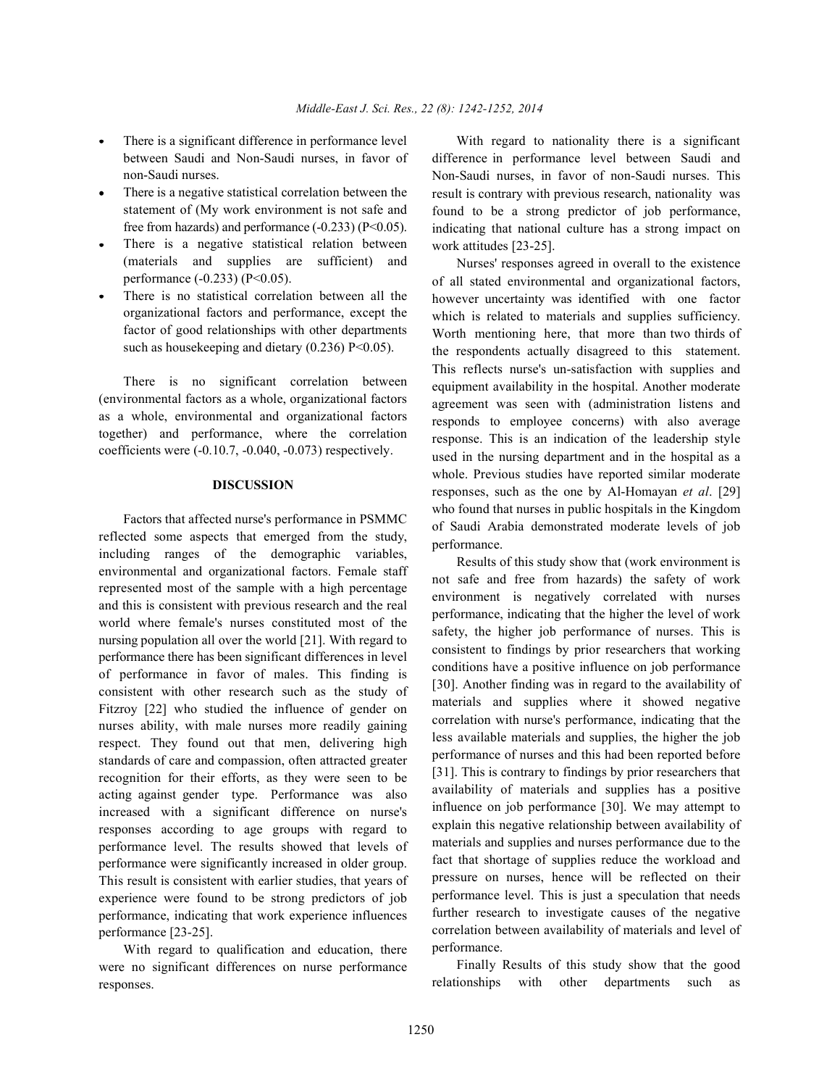- between Saudi and Non-Saudi nurses, in favor of non-Saudi nurses.
- There is a negative statistical correlation between the statement of (My work environment is not safe and free from hazards) and performance  $(-0.233)$  (P<0.05).
- There is a negative statistical relation between (materials and supplies are sufficient) and performance (-0.233) (P<0.05).
- There is no statistical correlation between all the organizational factors and performance, except the factor of good relationships with other departments such as housekeeping and dietary  $(0.236)$  P<0.05).

There is no significant correlation between (environmental factors as a whole, organizational factors as a whole, environmental and organizational factors together) and performance, where the correlation coefficients were (-0.10.7, -0.040, -0.073) respectively.

### **DISCUSSION**

Factors that affected nurse's performance in PSMMC reflected some aspects that emerged from the study, including ranges of the demographic variables, environmental and organizational factors. Female staff represented most of the sample with a high percentage and this is consistent with previous research and the real world where female's nurses constituted most of the nursing population all over the world [21]. With regard to performance there has been significant differences in level of performance in favor of males. This finding is consistent with other research such as the study of Fitzroy [22] who studied the influence of gender on nurses ability, with male nurses more readily gaining respect. They found out that men, delivering high standards of care and compassion, often attracted greater recognition for their efforts, as they were seen to be acting against gender type. Performance was also increased with a significant difference on nurse's responses according to age groups with regard to performance level. The results showed that levels of performance were significantly increased in older group. This result is consistent with earlier studies, that years of experience were found to be strong predictors of job performance, indicating that work experience influences performance [23-25].

With regard to qualification and education, there were no significant differences on nurse performance responses.

There is a significant difference in performance level With regard to nationality there is a significant difference in performance level between Saudi and Non-Saudi nurses, in favor of non-Saudi nurses. This result is contrary with previous research, nationality was found to be a strong predictor of job performance, indicating that national culture has a strong impact on work attitudes [23-25].

> Nurses' responses agreed in overall to the existence of all stated environmental and organizational factors, however uncertainty was identified with one factor which is related to materials and supplies sufficiency. Worth mentioning here, that more than two thirds of the respondents actually disagreed to this statement. This reflects nurse's un-satisfaction with supplies and equipment availability in the hospital. Another moderate agreement was seen with (administration listens and responds to employee concerns) with also average response. This is an indication of the leadership style used in the nursing department and in the hospital as a whole. Previous studies have reported similar moderate responses, such as the one by Al-Homayan *et al*. [29] who found that nurses in public hospitals in the Kingdom of Saudi Arabia demonstrated moderate levels of job performance.

> Results of this study show that (work environment is not safe and free from hazards) the safety of work environment is negatively correlated with nurses performance, indicating that the higher the level of work safety, the higher job performance of nurses. This is consistent to findings by prior researchers that working conditions have a positive influence on job performance [30]. Another finding was in regard to the availability of materials and supplies where it showed negative correlation with nurse's performance, indicating that the less available materials and supplies, the higher the job performance of nurses and this had been reported before [31]. This is contrary to findings by prior researchers that availability of materials and supplies has a positive influence on job performance [30]. We may attempt to explain this negative relationship between availability of materials and supplies and nurses performance due to the fact that shortage of supplies reduce the workload and pressure on nurses, hence will be reflected on their performance level. This is just a speculation that needs further research to investigate causes of the negative correlation between availability of materials and level of performance.

> Finally Results of this study show that the good relationships with other departments such as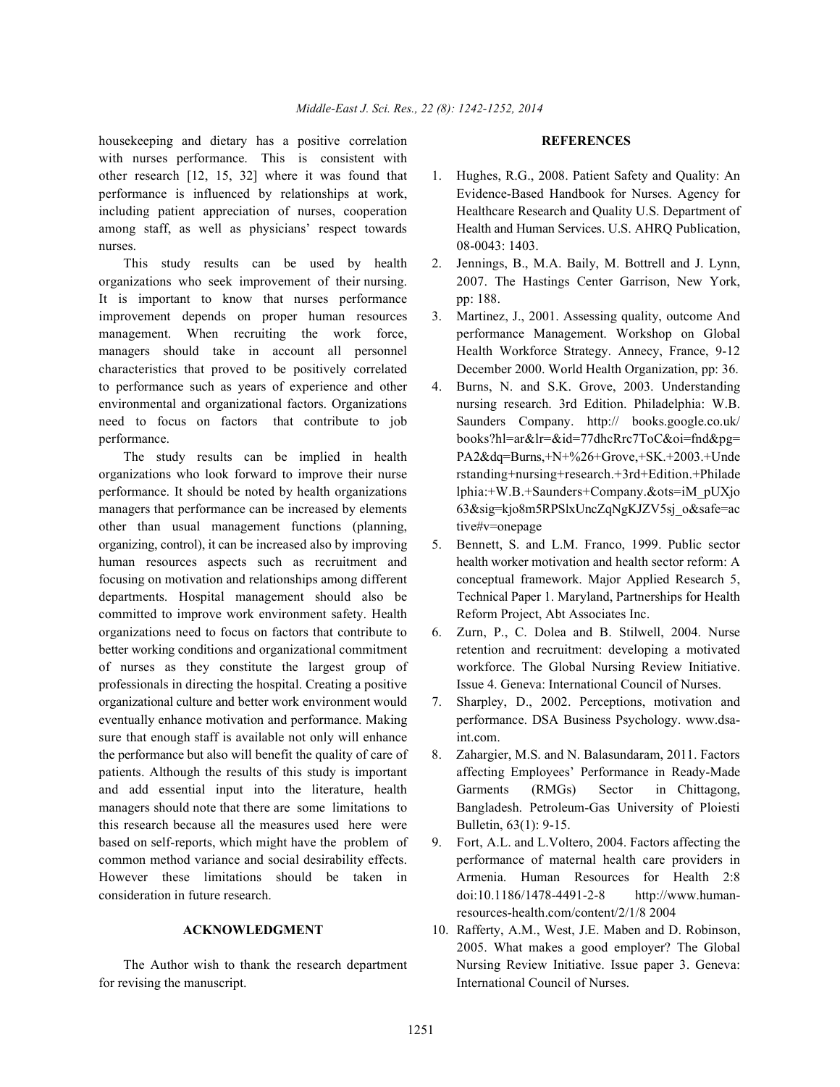housekeeping and dietary has a positive correlation **REFERENCES** with nurses performance. This is consistent with other research [12, 15, 32] where it was found that 1. Hughes, R.G., 2008. Patient Safety and Quality: An performance is influenced by relationships at work, Evidence-Based Handbook for Nurses. Agency for including patient appreciation of nurses, cooperation Healthcare Research and Quality U.S. Department of among staff, as well as physicians' respect towards Health and Human Services. U.S. AHRO Publication, nurses. 08-0043: 1403.

This study results can be used by health 2. Jennings, B., M.A. Baily, M. Bottrell and J. Lynn, organizations who seek improvement of their nursing. 2007. The Hastings Center Garrison, New York, It is important to know that nurses performance pp: 188. improvement depends on proper human resources 3. Martinez, J., 2001. Assessing quality, outcome And management. When recruiting the work force, performance Management. Workshop on Global managers should take in account all personnel Health Workforce Strategy. Annecy, France, 9-12 characteristics that proved to be positively correlated December 2000. World Health Organization, pp: 36. to performance such as years of experience and other 4. Burns, N. and S.K. Grove, 2003. Understanding environmental and organizational factors. Organizations nursing research. 3rd Edition. Philadelphia: W.B. need to focus on factors that contribute to job Saunders Company. http:// books.google.co.uk/ performance. books?hl=ar&lr=&id=77dhcRrc7ToC&oi=fnd&pg=

organizations who look forward to improve their nurse rstanding+nursing+research.+3rd+Edition.+Philade performance. It should be noted by health organizations lphia:+W.B.+Saunders+Company.&ots=iM\_pUXjo managers that performance can be increased by elements 63&sig=kjo8m5RPSlxUncZqNgKJZV5sj\_o&safe=ac other than usual management functions (planning, tive#v=onepage organizing, control), it can be increased also by improving 5. Bennett, S. and L.M. Franco, 1999. Public sector human resources aspects such as recruitment and health worker motivation and health sector reform: A focusing on motivation and relationships among different conceptual framework. Major Applied Research 5, departments. Hospital management should also be Technical Paper 1. Maryland, Partnerships for Health committed to improve work environment safety. Health Reform Project, Abt Associates Inc. organizations need to focus on factors that contribute to 6. Zurn, P., C. Dolea and B. Stilwell, 2004. Nurse better working conditions and organizational commitment retention and recruitment: developing a motivated of nurses as they constitute the largest group of workforce. The Global Nursing Review Initiative. professionals in directing the hospital. Creating a positive Issue 4. Geneva: International Council of Nurses. organizational culture and better work environment would 7. Sharpley, D., 2002. Perceptions, motivation and eventually enhance motivation and performance. Making performance. DSA Business Psychology. www.dsasure that enough staff is available not only will enhance int.com. the performance but also will benefit the quality of care of 8. Zahargier, M.S. and N. Balasundaram, 2011. Factors patients. Although the results of this study is important affecting Employees' Performance in Ready-Made and add essential input into the literature, health Garments (RMGs) Sector in Chittagong, managers should note that there are some limitations to Bangladesh. Petroleum-Gas University of Ploiesti this research because all the measures used here were Bulletin,  $63(1)$ :  $9-15$ . based on self-reports, which might have the problem of 9. Fort, A.L. and L.Voltero, 2004. Factors affecting the common method variance and social desirability effects. performance of maternal health care providers in However these limitations should be taken in Armenia. Human Resources for Health 2:8 consideration in future research. doi:10.1186/1478-4491-2-8 http://www.human-

for revising the manuscript. International Council of Nurses.

- 
- 
- 
- The study results can be implied in health PA2&dq=Burns,+N+%26+Grove,+SK,+2003,+Unde
	-
	-
	-
	-
	- resources-health.com/content/2/1/8 2004
- **ACKNOWLEDGMENT** 10. Rafferty, A.M., West, J.E. Maben and D. Robinson, The Author wish to thank the research department Nursing Review Initiative. Issue paper 3. Geneva: 2005. What makes a good employer? The Global